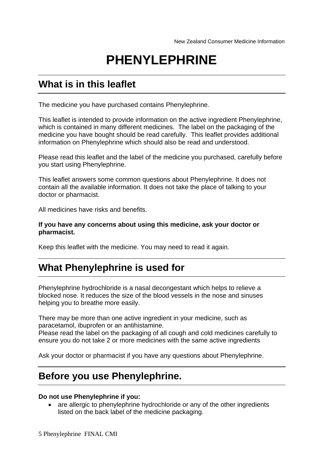# **PHENYLEPHRINE**

# **What is in this leaflet**

The medicine you have purchased contains Phenylephrine.

This leaflet is intended to provide information on the active ingredient Phenylephrine, which is contained in many different medicines. The label on the packaging of the medicine you have bought should be read carefully. This leaflet provides additional information on Phenylephrine which should also be read and understood.

Please read this leaflet and the label of the medicine you purchased, carefully before you start using Phenylephrine.

This leaflet answers some common questions about Phenylephrine. It does not contain all the available information. It does not take the place of talking to your doctor or pharmacist.

All medicines have risks and benefits.

#### **If you have any concerns about using this medicine, ask your doctor or pharmacist.**

Keep this leaflet with the medicine. You may need to read it again.

# **What Phenylephrine is used for**

Phenylephrine hydrochloride is a nasal decongestant which helps to relieve a blocked nose. It reduces the size of the blood vessels in the nose and sinuses helping you to breathe more easily.

There may be more than one active ingredient in your medicine, such as paracetamol, ibuprofen or an antihistamine.

Please read the label on the packaging of all cough and cold medicines carefully to ensure you do not take 2 or more medicines with the same active ingredients

Ask your doctor or pharmacist if you have any questions about Phenylephrine.

# **Before you use Phenylephrine.**

#### **Do not use Phenylephrine if you:**

• are allergic to phenylephrine hydrochloride or any of the other ingredients listed on the back label of the medicine packaging.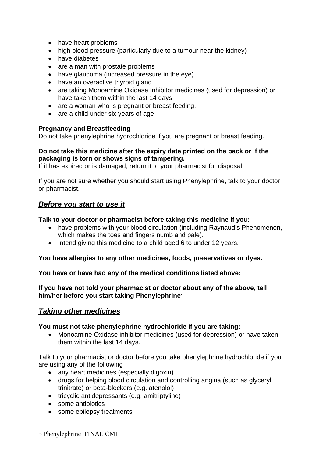- have heart problems
- high blood pressure (particularly due to a tumour near the kidney)
- have diabetes
- are a man with prostate problems
- have glaucoma (increased pressure in the eve)
- have an overactive thyroid gland
- are taking Monoamine Oxidase Inhibitor medicines (used for depression) or have taken them within the last 14 days
- are a woman who is pregnant or breast feeding.
- are a child under six years of age

#### **Pregnancy and Breastfeeding**

Do not take phenylephrine hydrochloride if you are pregnant or breast feeding.

#### **Do not take this medicine after the expiry date printed on the pack or if the packaging is torn or shows signs of tampering.**

If it has expired or is damaged, return it to your pharmacist for disposal.

If you are not sure whether you should start using Phenylephrine, talk to your doctor or pharmacist.

### *Before you start to use it*

#### **Talk to your doctor or pharmacist before taking this medicine if you:**

- have problems with your blood circulation (including Raynaud's Phenomenon, which makes the toes and fingers numb and pale).
- Intend giving this medicine to a child aged 6 to under 12 years.

#### **You have allergies to any other medicines, foods, preservatives or dyes.**

**You have or have had any of the medical conditions listed above:** 

**If you have not told your pharmacist or doctor about any of the above, tell him/her before you start taking Phenylephrine.**

### *Taking other medicines*

#### **You must not take phenylephrine hydrochloride if you are taking:**

• Monoamine Oxidase inhibitor medicines (used for depression) or have taken them within the last 14 days.

Talk to your pharmacist or doctor before you take phenylephrine hydrochloride if you are using any of the following

- any heart medicines (especially digoxin)
- drugs for helping blood circulation and controlling angina (such as glyceryl trinitrate) or beta-blockers (e.g. atenolol)
- tricyclic antidepressants (e.g. amitriptyline)
- some antibiotics
- some epilepsy treatments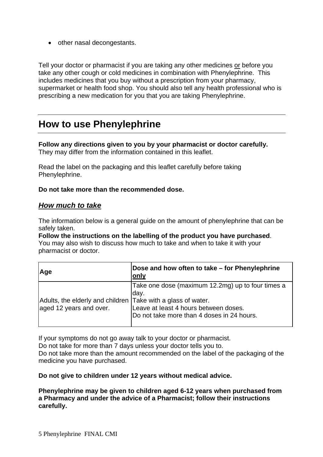• other nasal decongestants.

Tell your doctor or pharmacist if you are taking any other medicines or before you take any other cough or cold medicines in combination with Phenylephrine. This includes medicines that you buy without a prescription from your pharmacy, supermarket or health food shop. You should also tell any health professional who is prescribing a new medication for you that you are taking Phenylephrine.

# **How to use Phenylephrine**

#### **Follow any directions given to you by your pharmacist or doctor carefully.**  They may differ from the information contained in this leaflet.

Read the label on the packaging and this leaflet carefully before taking Phenylephrine.

#### **Do not take more than the recommended dose.**

### *How much to take*

The information below is a general guide on the amount of phenylephrine that can be safely taken.

**Follow the instructions on the labelling of the product you have purchased**. You may also wish to discuss how much to take and when to take it with your pharmacist or doctor.

| Age                                                                                     | Dose and how often to take - for Phenylephrine<br>only                                                                                            |
|-----------------------------------------------------------------------------------------|---------------------------------------------------------------------------------------------------------------------------------------------------|
| Adults, the elderly and children Take with a glass of water.<br>aged 12 years and over. | Take one dose (maximum 12.2mg) up to four times a<br> day.<br>Leave at least 4 hours between doses.<br>Do not take more than 4 doses in 24 hours. |

If your symptoms do not go away talk to your doctor or pharmacist.

Do not take for more than 7 days unless your doctor tells you to.

Do not take more than the amount recommended on the label of the packaging of the medicine you have purchased.

**Do not give to children under 12 years without medical advice.** 

**Phenylephrine may be given to children aged 6-12 years when purchased from a Pharmacy and under the advice of a Pharmacist; follow their instructions carefully.**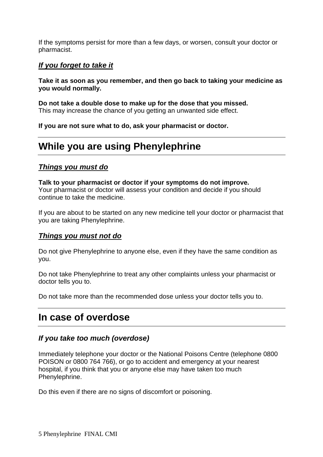If the symptoms persist for more than a few days, or worsen, consult your doctor or pharmacist.

## *If you forget to take it*

### **Take it as soon as you remember, and then go back to taking your medicine as you would normally.**

**Do not take a double dose to make up for the dose that you missed.**  This may increase the chance of you getting an unwanted side effect.

**If you are not sure what to do, ask your pharmacist or doctor.** 

# **While you are using Phenylephrine**

### *Things you must do*

**Talk to your pharmacist or doctor if your symptoms do not improve.**  Your pharmacist or doctor will assess your condition and decide if you should continue to take the medicine.

If you are about to be started on any new medicine tell your doctor or pharmacist that you are taking Phenylephrine.

### *Things you must not do*

Do not give Phenylephrine to anyone else, even if they have the same condition as you.

Do not take Phenylephrine to treat any other complaints unless your pharmacist or doctor tells you to.

Do not take more than the recommended dose unless your doctor tells you to.

# **In case of overdose**

### *If you take too much (overdose)*

Immediately telephone your doctor or the National Poisons Centre (telephone 0800 POISON or 0800 764 766), or go to accident and emergency at your nearest hospital, if you think that you or anyone else may have taken too much Phenylephrine.

Do this even if there are no signs of discomfort or poisoning.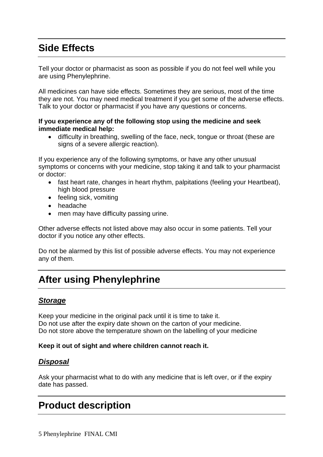# **Side Effects**

Tell your doctor or pharmacist as soon as possible if you do not feel well while you are using Phenylephrine.

All medicines can have side effects. Sometimes they are serious, most of the time they are not. You may need medical treatment if you get some of the adverse effects. Talk to your doctor or pharmacist if you have any questions or concerns.

### **If you experience any of the following stop using the medicine and seek immediate medical help:**

• difficulty in breathing, swelling of the face, neck, tongue or throat (these are signs of a severe allergic reaction).

If you experience any of the following symptoms, or have any other unusual symptoms or concerns with your medicine, stop taking it and talk to your pharmacist or doctor:

- fast heart rate, changes in heart rhythm, palpitations (feeling your Heartbeat), high blood pressure
- feeling sick, vomiting
- headache
- men may have difficulty passing urine.

Other adverse effects not listed above may also occur in some patients. Tell your doctor if you notice any other effects.

Do not be alarmed by this list of possible adverse effects. You may not experience any of them.

# **After using Phenylephrine**

### *Storage*

Keep your medicine in the original pack until it is time to take it. Do not use after the expiry date shown on the carton of your medicine. Do not store above the temperature shown on the labelling of your medicine

### **Keep it out of sight and where children cannot reach it.**

# *Disposal*

Ask your pharmacist what to do with any medicine that is left over, or if the expiry date has passed.

# **Product description**